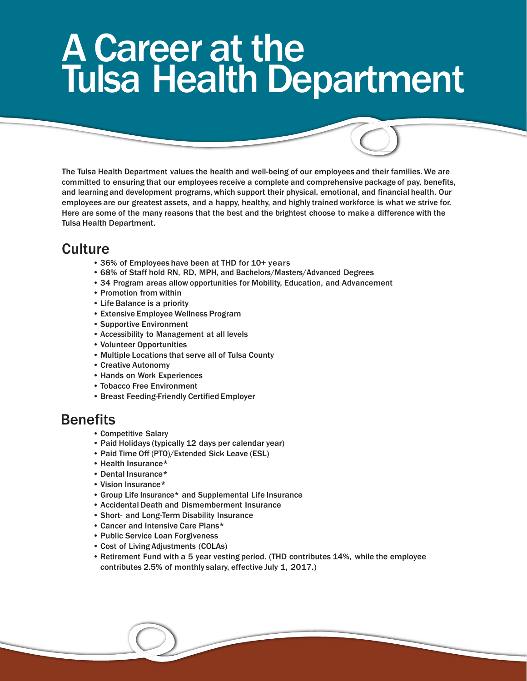# A Career at the Tulsa Health Department

The Tulsa Health Department values the health and well-being of our employees and their families. We are committed to ensuring that our employees receive a complete and comprehensive package of pay, benefits, and learning and development programs, which support their physical, emotional, and financial health. Our employees are our greatest assets, and a happy, healthy, and highly trained workforce is what we strive for. Here are some of the many reasons that the best and the brightest choose to make a difference with the Tulsa Health Department.

## **Culture**

- 36% of Employees have been at THD for 10+ years
- 68% of Staff hold RN, RD, MPH, and Bachelors/Masters/Advanced Degrees
- 34 Program areas allow opportunities for Mobility, Education, and Advancement
- Promotion from within
- Life Balance is a priority
- Extensive Employee Wellness Program
- Supportive Environment
- Accessibility to Management at all levels
- Volunteer Opportunities
- Multiple Locations that serve all of Tulsa County
- Creative Autonomy
- Hands on Work Experiences
- Tobacco Free Environment
- Breast Feeding-Friendly Certified Employer

#### Benefits

- Competitive Salary
- Paid Holidays (typically 12 days per calendar year)
- Paid Time Off (PTO)/Extended Sick Leave (ESL)
- Health Insurance\*
- Dental Insurance\*
- Vision Insurance\*
- Group Life Insurance\* and Supplemental Life Insurance
- Accidental Death and Dismemberment Insurance
- Short- and Long-Term Disability Insurance
- Cancer and Intensive Care Plans\*
- Public Service Loan Forgiveness
- Cost of Living Adjustments (COLAs)
- Retirement Fund with a 5 year vesting period. (THD contributes 14%, while the employee contributes 2.5% of monthly salary, effective July 1, 2017.)